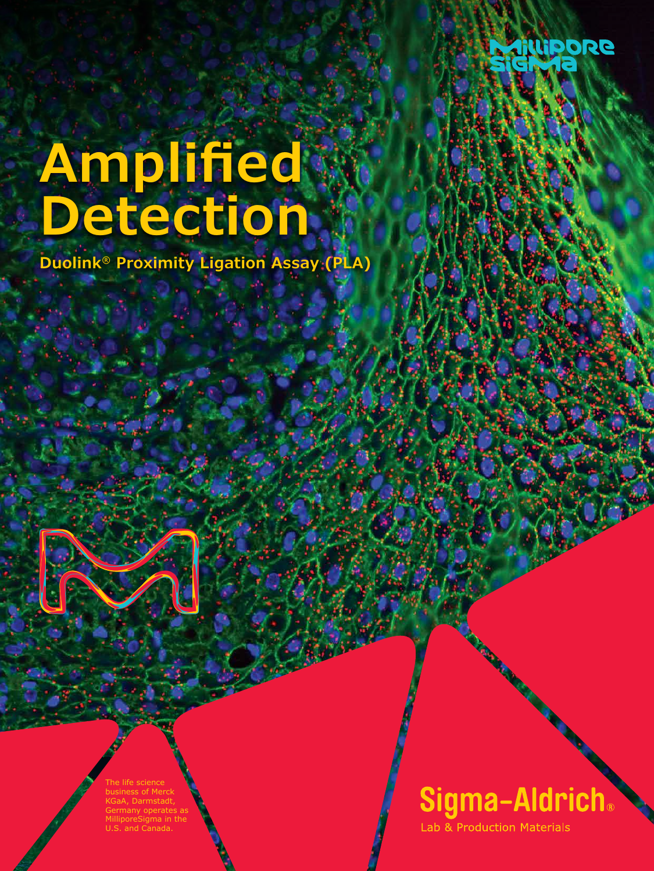

# **Amplified Detection**

**Duolink® Proximity Ligation Assay (PLA)**

The life science business of Merck Darmstadt, Germany operates as MilliporeSigma in the and Canada.

Sigma-Aldrich.

**Lab & Production Materials** 

COMMANDER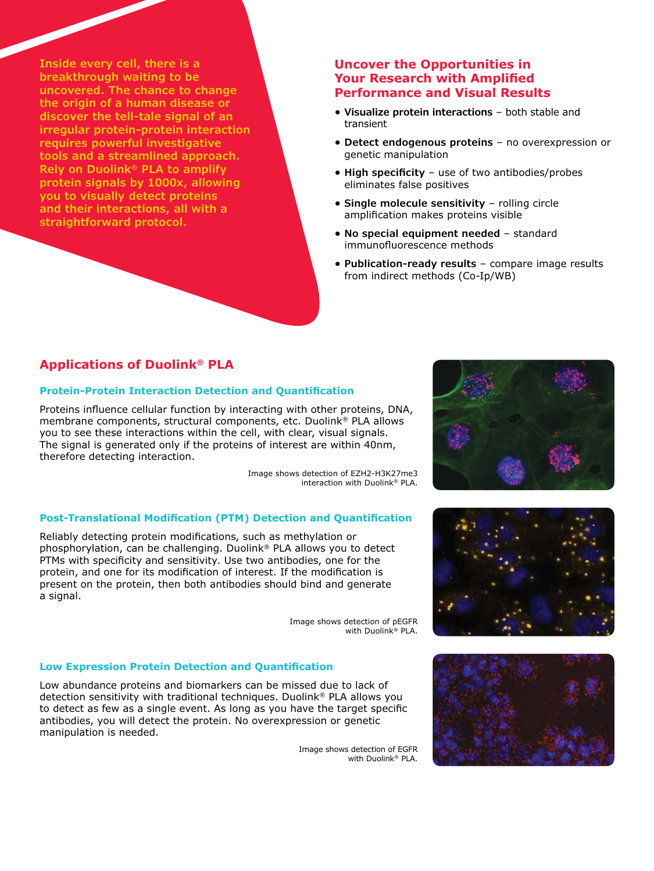**Inside every cell, there is a breakthrough waiting to be uncovered. The chance to change the origin of a human disease or discover the tell-tale signal of an irregular protein-protein interaction requires powerful investigative tools and a streamlined approach. Rely on Duolink® PLA to amplify protein signals by 1000x, allowing you to visually detect proteins and their interactions, all with a straightforward protocol.**

#### **Uncover the Opportunities in Your Research with Amplified Performance and Visual Results**

- **• Visualize protein interactions** both stable and transient
- **• Detect endogenous proteins** no overexpression or genetic manipulation
- **• High specificity** use of two antibodies/probes eliminates false positives
- **• Single molecule sensitivity** rolling circle amplification makes proteins visible
- **• No special equipment needed** standard immunofluorescence methods
- **• Publication-ready results** compare image results from indirect methods (Co-Ip/WB)

## **Applications of Duolink® PLA**

#### **Protein-Protein Interaction Detection and Quantification**

Proteins influence cellular function by interacting with other proteins, DNA, membrane components, structural components, etc. Duolink® PLA allows you to see these interactions within the cell, with clear, visual signals. The signal is generated only if the proteins of interest are within 40nm, therefore detecting interaction.

> Image shows detection of EZH2-H3K27me3 interaction with Duolink® PLA.

#### **Post-Translational Modification (PTM) Detection and Quantification**

Reliably detecting protein modifications, such as methylation or phosphorylation, can be challenging. Duolink® PLA allows you to detect PTMs with specificity and sensitivity. Use two antibodies, one for the protein, and one for its modification of interest. If the modification is present on the protein, then both antibodies should bind and generate a signal.

> Image shows detection of pEGFR with Duolink® PLA.

#### **Low Expression Protein Detection and Quantification**

Low abundance proteins and biomarkers can be missed due to lack of detection sensitivity with traditional techniques. Duolink® PLA allows you to detect as few as a single event. As long as you have the target specific antibodies, you will detect the protein. No overexpression or genetic manipulation is needed.

> Image shows detection of EGFR with Duolink® PLA.





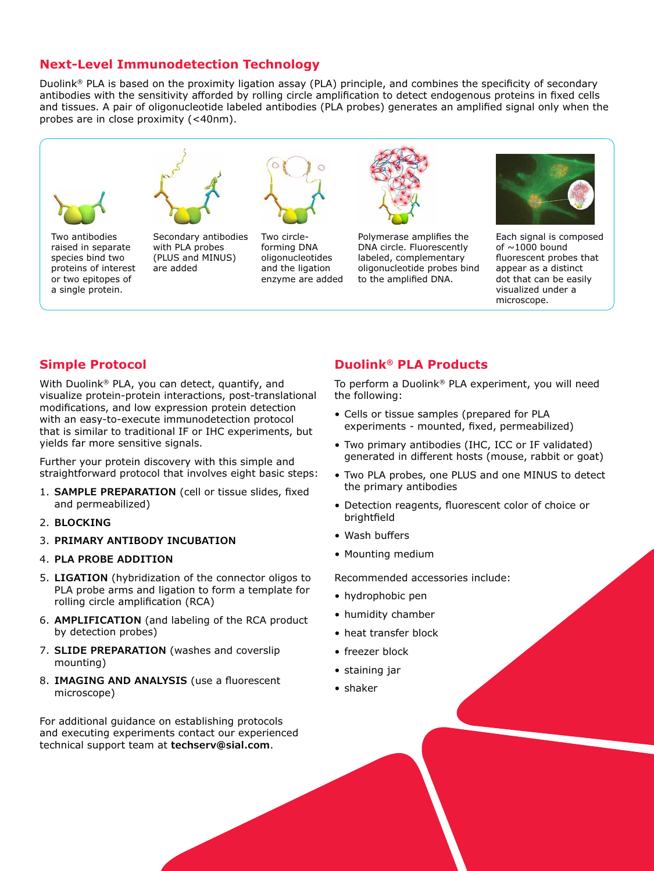### **Next-Level Immunodetection Technology**

Duolink® PLA is based on the proximity ligation assay (PLA) principle, and combines the specificity of secondary antibodies with the sensitivity afforded by rolling circle amplification to detect endogenous proteins in fixed cells and tissues. A pair of oligonucleotide labeled antibodies (PLA probes) generates an amplified signal only when the probes are in close proximity (<40nm).



enzyme are added

**Simple Protocol**

or two epitopes of a single protein.

With Duolink® PLA, you can detect, quantify, and visualize protein-protein interactions, post-translational modifications, and low expression protein detection with an easy-to-execute immunodetection protocol that is similar to traditional IF or IHC experiments, but yields far more sensitive signals.

Further your protein discovery with this simple and straightforward protocol that involves eight basic steps:

- 1. **SAMPLE PREPARATION** (cell or tissue slides, fixed and permeabilized)
- 2. **BLOCKING**
- 3. **PRIMARY ANTIBODY INCUBATION**
- 4. **PLA PROBE ADDITION**
- 5. **LIGATION** (hybridization of the connector oligos to PLA probe arms and ligation to form a template for rolling circle amplification (RCA)
- 6. **AMPLIFICATION** (and labeling of the RCA product by detection probes)
- 7. **SLIDE PREPARATION** (washes and coverslip mounting)
- 8. **IMAGING AND ANALYSIS** (use a fluorescent microscope)

For additional guidance on establishing protocols and executing experiments contact our experienced technical support team at **techserv@sial.com**.

## **Duolink® PLA Products**

to the amplified DNA.

To perform a Duolink® PLA experiment, you will need the following:

dot that can be easily visualized under a microscope.

- Cells or tissue samples (prepared for PLA experiments - mounted, fixed, permeabilized)
- Two primary antibodies (IHC, ICC or IF validated) generated in different hosts (mouse, rabbit or goat)
- Two PLA probes, one PLUS and one MINUS to detect the primary antibodies
- Detection reagents, fluorescent color of choice or brightfield
- Wash buffers
- Mounting medium

Recommended accessories include:

- hydrophobic pen
- humidity chamber
- heat transfer block
- freezer block
- staining jar
- shaker